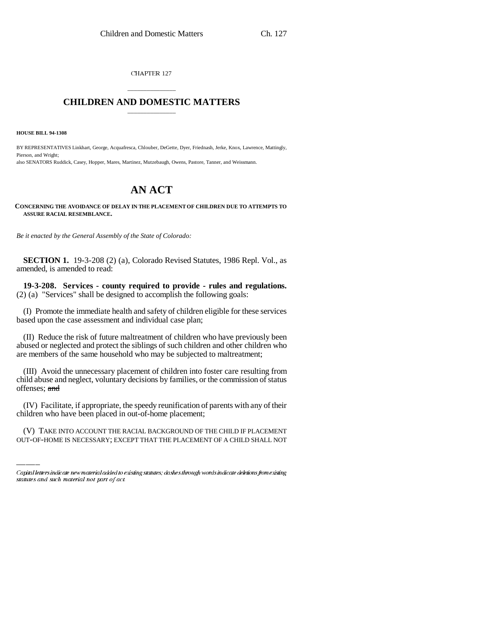CHAPTER 127

## \_\_\_\_\_\_\_\_\_\_\_\_\_\_\_ **CHILDREN AND DOMESTIC MATTERS** \_\_\_\_\_\_\_\_\_\_\_\_\_\_\_

**HOUSE BILL 94-1308**

BY REPRESENTATIVES Linkhart, George, Acquafresca, Chlouber, DeGette, Dyer, Friednash, Jerke, Knox, Lawrence, Mattingly, Pierson, and Wright; also SENATORS Ruddick, Casey, Hopper, Mares, Martinez, Mutzebaugh, Owens, Pastore, Tanner, and Weissmann.

## **AN ACT**

## **CONCERNING THE AVOIDANCE OF DELAY IN THE PLACEMENT OF CHILDREN DUE TO ATTEMPTS TO ASSURE RACIAL RESEMBLANCE.**

*Be it enacted by the General Assembly of the State of Colorado:*

**SECTION 1.** 19-3-208 (2) (a), Colorado Revised Statutes, 1986 Repl. Vol., as amended, is amended to read:

**19-3-208. Services - county required to provide - rules and regulations.** (2) (a) "Services" shall be designed to accomplish the following goals:

(I) Promote the immediate health and safety of children eligible for these services based upon the case assessment and individual case plan;

(II) Reduce the risk of future maltreatment of children who have previously been abused or neglected and protect the siblings of such children and other children who are members of the same household who may be subjected to maltreatment;

(III) Avoid the unnecessary placement of children into foster care resulting from child abuse and neglect, voluntary decisions by families, or the commission of status offenses; and

(IV) Facilitate, if appropriate, the speedy reunification of parents with any of their children who have been placed in out-of-home placement;

(V) TAKE INTO ACCOUNT THE RACIAL BACKGROUND OF THE CHILD IF PLACEMENT OUT-OF-HOME IS NECESSARY; EXCEPT THAT THE PLACEMENT OF A CHILD SHALL NOT

Capital letters indicate new material added to existing statutes; dashes through words indicate deletions from existing statutes and such material not part of act.